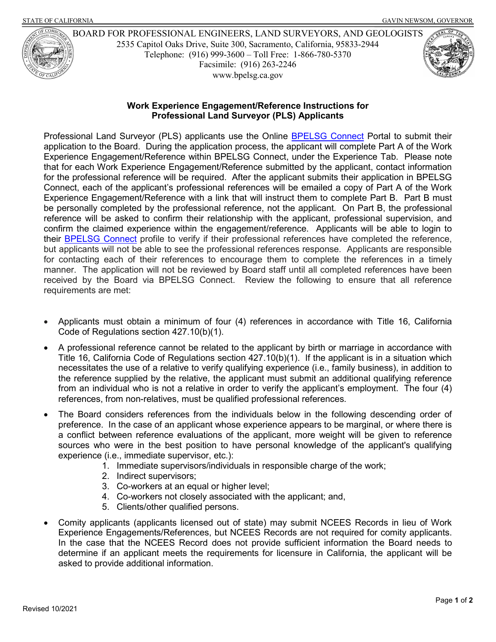

 Telephone: (916) 999-3600 – Toll Free: 1-866-780-5370 BOARD FOR PROFESSIONAL ENGINEERS, LAND SURVEYORS, AND GEOLOGISTS 2535 Capitol Oaks Drive, Suite 300, Sacramento, California, 95833-2944 Facsimile: (916) 263-2246 <www.bpelsg.ca.gov>



## **Work Experience Engagement/Reference Instructions for Professional Land Surveyor (PLS) Applicants**

Professional Land Surveyor (PLS) applicants use the Online <u>BPELSG Connect</u> Portal to submit their application to the Board. During the application process, the applicant will complete Part A of the Work Experience Engagement/Reference within BPELSG Connect, under the Experience Tab. Please note for the professional reference will be required. After the applicant submits their application in BPELSG Connect, each of the applicant's professional references will be emailed a copy of Part A of the Work Experience Engagement/Reference with a link that will instruct them to complete Part B. Part B must be personally completed by the professional reference, not the applicant. On Part B, the professional confirm the claimed experience within the engagement/reference. Applicants will be able to login to their <u>BPELSG Connect</u> profile to verify if their professional references have completed the reference, manner. The application will not be reviewed by Board staff until all completed references have been received by the Board via BPELSG Connect. Review the following to ensure that all reference requirements are met: that for each Work Experience Engagement/Reference submitted by the applicant, contact information reference will be asked to confirm their relationship with the applicant, professional supervision, and but applicants will not be able to see the professional references response. Applicants are responsible for contacting each of their references to encourage them to complete the references in a timely

- • Applicants must obtain a minimum of four (4) references in accordance with Title 16, California Code of Regulations section 427.10(b)(1).
- • A professional reference cannot be related to the applicant by birth or marriage in accordance with Title 16, California Code of Regulations section 427.10(b)(1). If the applicant is in a situation which necessitates the use of a relative to verify qualifying experience (i.e., family business), in addition to the reference supplied by the relative, the applicant must submit an additional qualifying reference from an individual who is not a relative in order to verify the applicant's employment. The four (4) references, from non-relatives, must be qualified professional references.
- • The Board considers references from the individuals below in the following descending order of sources who were in the best position to have personal knowledge of the applicant's qualifying preference. In the case of an applicant whose experience appears to be marginal, or where there is a conflict between reference evaluations of the applicant, more weight will be given to reference experience (i.e., immediate supervisor, etc.):
	- 1. Immediate supervisors/individuals in responsible charge of the work;
	- 2. Indirect supervisors;
	- 3. Co-workers at an equal or higher level;
	- 4. Co-workers not closely associated with the applicant; and,
	- 5. Clients/other qualified persons.
- Experience Engagements/References, but NCEES Records are not required for comity applicants. Experience Engagements/References, but NCEES Records are not required for comity applicants.<br>In the case that the NCEES Record does not provide sufficient information the Board needs to determine if an applicant meets the requirements for licensure in California, the applicant will be • Comity applicants (applicants licensed out of state) may submit NCEES Records in lieu of Work asked to provide additional information.